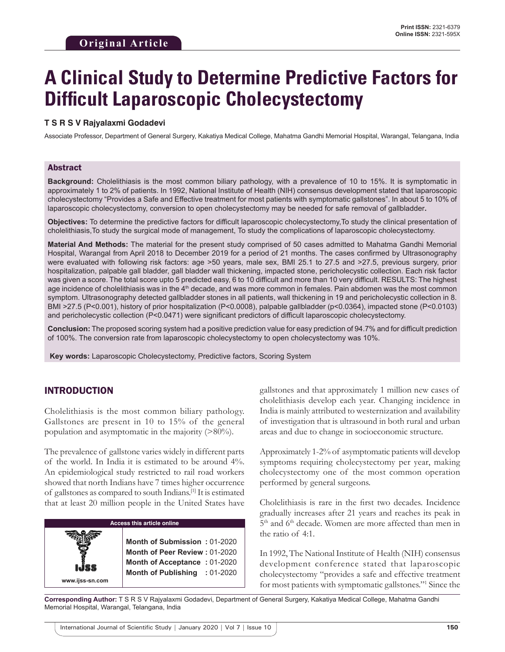# **A Clinical Study to Determine Predictive Factors for Difficult Laparoscopic Cholecystectomy**

#### **T S R S V Rajyalaxmi Godadevi**

Associate Professor, Department of General Surgery, Kakatiya Medical College, Mahatma Gandhi Memorial Hospital, Warangal, Telangana, India

#### Abstract

**Background:** Cholelithiasis is the most common biliary pathology, with a prevalence of 10 to 15%. It is symptomatic in approximately 1 to 2% of patients. In 1992, National Institute of Health (NIH) consensus development stated that laparoscopic cholecystectomy "Provides a Safe and Effective treatment for most patients with symptomatic gallstones". In about 5 to 10% of laparoscopic cholecystectomy, conversion to open cholecystectomy may be needed for safe removal of gallbladder**.**

**Objectives:** To determine the predictive factors for difficult laparoscopic cholecystectomy,To study the clinical presentation of cholelithiasis,To study the surgical mode of management, To study the complications of laparoscopic cholecystectomy.

**Material And Methods:** The material for the present study comprised of 50 cases admitted to Mahatma Gandhi Memorial Hospital, Warangal from April 2018 to December 2019 for a period of 21 months. The cases confirmed by Ultrasonography were evaluated with following risk factors: age >50 years, male sex, BMI 25.1 to 27.5 and >27.5, previous surgery, prior hospitalization, palpable gall bladder, gall bladder wall thickening, impacted stone, pericholecystic collection. Each risk factor was given a score. The total score upto 5 predicted easy, 6 to 10 difficult and more than 10 very difficult. RESULTS: The highest age incidence of cholelithiasis was in the 4<sup>th</sup> decade, and was more common in females. Pain abdomen was the most common symptom. Ultrasonography detected gallbladder stones in all patients, wall thickening in 19 and pericholecystic collection in 8. BMI >27.5 (P<0.001), history of prior hospitalization (P<0.0008), palpable gallbladder (p<0.0364), impacted stone (P<0.0103) and pericholecystic collection (P<0.0471) were significant predictors of difficult laparoscopic cholecystectomy.

**Conclusion:** The proposed scoring system had a positive prediction value for easy prediction of 94.7% and for difficult prediction of 100%. The conversion rate from laparoscopic cholecystectomy to open cholecystectomy was 10%.

 **Key words:** Laparoscopic Cholecystectomy, Predictive factors, Scoring System

## INTRODUCTION

**www.ijss-sn.com**

Cholelithiasis is the most common biliary pathology. Gallstones are present in 10 to 15% of the general population and asymptomatic in the majority (>80%).

The prevalence of gallstone varies widely in different parts of the world. In India it is estimated to be around 4%. An epidemiological study restricted to rail road workers showed that north Indians have 7 times higher occurrence of gallstones as compared to south Indians.[1] It is estimated that at least 20 million people in the United States have

#### **Access this article online**

**Month of Submission :** 01-2020 **Month of Peer Review :** 01-2020 **Month of Acceptance :** 01-2020 **Month of Publishing :** 01-2020 gallstones and that approximately 1 million new cases of cholelithiasis develop each year. Changing incidence in India is mainly attributed to westernization and availability of investigation that is ultrasound in both rural and urban areas and due to change in socioeconomic structure.

Approximately 1-2% of asymptomatic patients will develop symptoms requiring cholecystectomy per year, making cholecystectomy one of the most common operation performed by general surgeons.

Cholelithiasis is rare in the first two decades. Incidence gradually increases after 21 years and reaches its peak in 5<sup>th</sup> and 6<sup>th</sup> decade. Women are more affected than men in the ratio of 4:1.

In 1992, The National Institute of Health (NIH) consensus development conference stated that laparoscopic cholecystectomy "provides a safe and effective treatment for most patients with symptomatic gallstones."1 Since the

**Corresponding Author:** T S R S V Rajyalaxmi Godadevi, Department of General Surgery, Kakatiya Medical College, Mahatma Gandhi Memorial Hospital, Warangal, Telangana, India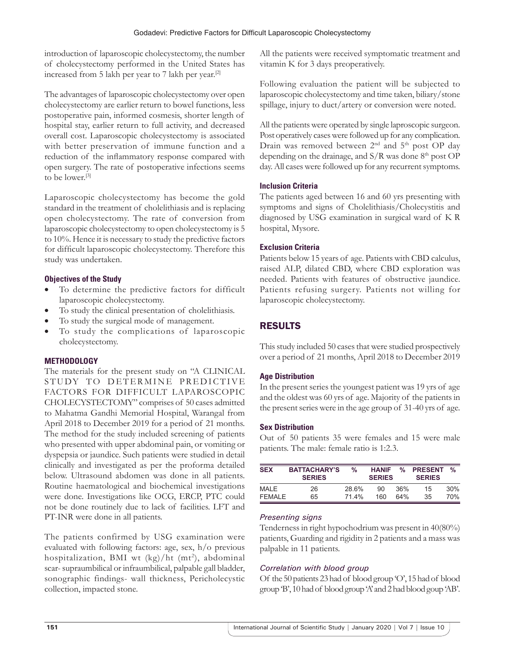introduction of laparoscopic cholecystectomy, the number of cholecystectomy performed in the United States has increased from 5 lakh per year to 7 lakh per year.[2]

The advantages of laparoscopic cholecystectomy over open cholecystectomy are earlier return to bowel functions, less postoperative pain, informed cosmesis, shorter length of hospital stay, earlier return to full activity, and decreased overall cost. Laparoscopic cholecystectomy is associated with better preservation of immune function and a reduction of the inflammatory response compared with open surgery. The rate of postoperative infections seems to be lower.[3]

Laparoscopic cholecystectomy has become the gold standard in the treatment of cholelithiasis and is replacing open cholecystectomy. The rate of conversion from laparoscopic cholecystectomy to open cholecystectomy is 5 to 10%. Hence it is necessary to study the predictive factors for difficult laparoscopic cholecystectomy. Therefore this study was undertaken.

## **Objectives of the Study**

- To determine the predictive factors for difficult laparoscopic cholecystectomy.
- To study the clinical presentation of cholelithiasis.
- To study the surgical mode of management.
- To study the complications of laparoscopic cholecystectomy.

## **METHODOLOGY**

The materials for the present study on "A CLINICAL STUDY TO DETERMINE PREDICTIVE FACTORS FOR DIFFICULT LAPAROSCOPIC CHOLECYSTECTOMY" comprises of 50 cases admitted to Mahatma Gandhi Memorial Hospital, Warangal from April 2018 to December 2019 for a period of 21 months. The method for the study included screening of patients who presented with upper abdominal pain, or vomiting or dyspepsia or jaundice. Such patients were studied in detail clinically and investigated as per the proforma detailed below. Ultrasound abdomen was done in all patients. Routine haematological and biochemical investigations were done. Investigations like OCG, ERCP, PTC could not be done routinely due to lack of facilities. LFT and PT-INR were done in all patients.

The patients confirmed by USG examination were evaluated with following factors: age, sex, h/o previous hospitalization, BMI wt (kg)/ht (mt<sup>2</sup>), abdominal scar-supraumbilical or infraumbilical, palpable gall bladder, sonographic findings- wall thickness, Pericholecystic collection, impacted stone.

All the patients were received symptomatic treatment and vitamin K for 3 days preoperatively.

Following evaluation the patient will be subjected to laparoscopic cholecystectomy and time taken, biliary/stone spillage, injury to duct/artery or conversion were noted.

All the patients were operated by single laproscopic surgeon. Post operatively cases were followed up for any complication. Drain was removed between 2<sup>nd</sup> and 5<sup>th</sup> post OP day depending on the drainage, and  $S/R$  was done  $8<sup>th</sup>$  post OP day. All cases were followed up for any recurrent symptoms.

## **Inclusion Criteria**

The patients aged between 16 and 60 yrs presenting with symptoms and signs of Cholelithiasis/Cholecystitis and diagnosed by USG examination in surgical ward of K R hospital, Mysore.

## **Exclusion Criteria**

Patients below 15 years of age. Patients with CBD calculus, raised ALP, dilated CBD, where CBD exploration was needed. Patients with features of obstructive jaundice. Patients refusing surgery. Patients not willing for laparoscopic cholecystectomy.

# RESULTS

This study included 50 cases that were studied prospectively over a period of 21 months, April 2018 to December 2019

## **Age Distribution**

In the present series the youngest patient was 19 yrs of age and the oldest was 60 yrs of age. Majority of the patients in the present series were in the age group of 31-40 yrs of age.

## **Sex Distribution**

Out of 50 patients 35 were females and 15 were male patients. The male: female ratio is 1:2.3.

| <b>SEX</b> | <b>BATTACHARY'S</b><br><b>SERIES</b> | ℀     | <b>HANIF</b><br><b>SERIES</b> | %   | <b>PRESENT</b><br><b>SERIES</b> | $\frac{0}{2}$ |
|------------|--------------------------------------|-------|-------------------------------|-----|---------------------------------|---------------|
| MAI F      | 26                                   | 28.6% | 90                            | 36% | 15                              | 30%           |
| FFMALF     | 65                                   | 714%  | 160                           | 64% | 35                              | 70%           |

## *Presenting signs*

Tenderness in right hypochodrium was present in 40(80%) patients, Guarding and rigidity in 2 patients and a mass was palpable in 11 patients.

## *Correlation with blood group*

Of the 50 patients 23 had of blood group 'O', 15 had of blood group 'B', 10 had of blood group 'A' and 2 had blood goup 'AB'.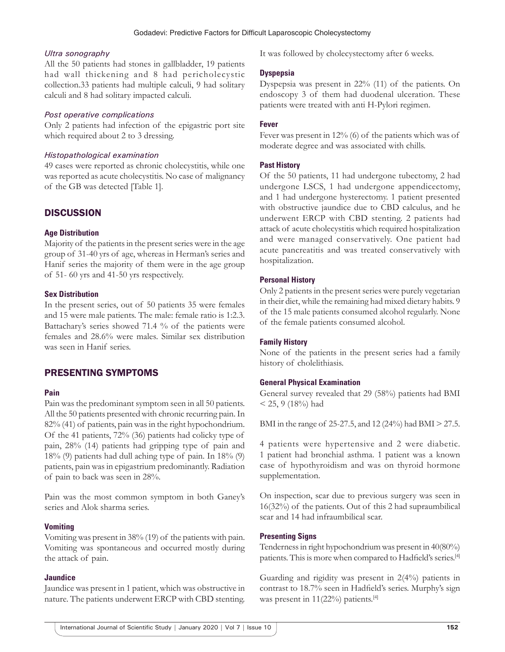#### *Ultra sonography*

All the 50 patients had stones in gallbladder, 19 patients had wall thickening and 8 had pericholecystic collection.33 patients had multiple calculi, 9 had solitary calculi and 8 had solitary impacted calculi.

#### *Post operative complications*

Only 2 patients had infection of the epigastric port site which required about 2 to 3 dressing.

#### *Histopathological examination*

49 cases were reported as chronic cholecystitis, while one was reported as acute cholecystitis. No case of malignancy of the GB was detected [Table 1].

## **DISCUSSION**

## **Age Distribution**

Majority of the patients in the present series were in the age group of 31-40 yrs of age, whereas in Herman's series and Hanif series the majority of them were in the age group of 51- 60 yrs and 41-50 yrs respectively.

#### **Sex Distribution**

In the present series, out of 50 patients 35 were females and 15 were male patients. The male: female ratio is 1:2.3. Battachary's series showed 71.4 % of the patients were females and 28.6% were males. Similar sex distribution was seen in Hanif series.

## PRESENTING SYMPTOMS

#### **Pain**

Pain was the predominant symptom seen in all 50 patients. All the 50 patients presented with chronic recurring pain. In 82% (41) of patients, pain was in the right hypochondrium. Of the 41 patients, 72% (36) patients had colicky type of pain, 28% (14) patients had gripping type of pain and 18% (9) patients had dull aching type of pain. In 18% (9) patients, pain was in epigastrium predominantly. Radiation of pain to back was seen in 28%.

Pain was the most common symptom in both Ganey's series and Alok sharma series.

#### **Vomiting**

Vomiting was present in 38% (19) of the patients with pain. Vomiting was spontaneous and occurred mostly during the attack of pain.

#### **Jaundice**

Jaundice was present in 1 patient, which was obstructive in nature. The patients underwent ERCP with CBD stenting. It was followed by cholecystectomy after 6 weeks.

## **Dyspepsia**

Dyspepsia was present in 22% (11) of the patients. On endoscopy 3 of them had duodenal ulceration. These patients were treated with anti H-Pylori regimen.

## **Fever**

Fever was present in 12% (6) of the patients which was of moderate degree and was associated with chills.

## **Past History**

Of the 50 patients, 11 had undergone tubectomy, 2 had undergone LSCS, 1 had undergone appendicectomy, and 1 had undergone hysterectomy. 1 patient presented with obstructive jaundice due to CBD calculus, and he underwent ERCP with CBD stenting. 2 patients had attack of acute cholecystitis which required hospitalization and were managed conservatively. One patient had acute pancreatitis and was treated conservatively with hospitalization.

## **Personal History**

Only 2 patients in the present series were purely vegetarian in their diet, while the remaining had mixed dietary habits. 9 of the 15 male patients consumed alcohol regularly. None of the female patients consumed alcohol.

## **Family History**

None of the patients in the present series had a family history of cholelithiasis.

#### **General Physical Examination**

General survey revealed that 29 (58%) patients had BMI  $<$  25, 9 (18%) had

BMI in the range of 25-27.5, and 12 (24%) had BMI > 27.5.

4 patients were hypertensive and 2 were diabetic. 1 patient had bronchial asthma. 1 patient was a known case of hypothyroidism and was on thyroid hormone supplementation.

On inspection, scar due to previous surgery was seen in 16(32%) of the patients. Out of this 2 had supraumbilical scar and 14 had infraumbilical scar.

#### **Presenting Signs**

Tenderness in right hypochondrium was present in 40(80%) patients. This is more when compared to Hadfield's series.[4]

Guarding and rigidity was present in 2(4%) patients in contrast to 18.7% seen in Hadfield's series. Murphy's sign was present in 11(22%) patients.<sup>[4]</sup>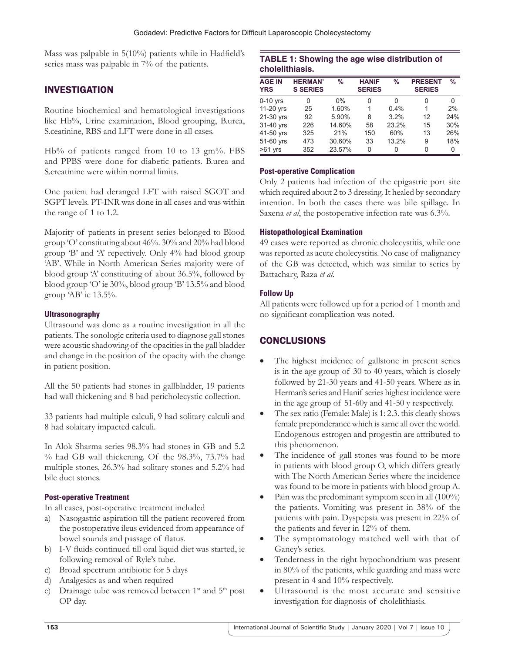Mass was palpable in 5(10%) patients while in Hadfield's series mass was palpable in 7% of the patients.

## INVESTIGATION

Routine biochemical and hematological investigations like Hb%, Urine examination, Blood grouping, B.urea, S.ceatinine, RBS and LFT were done in all cases.

Hb% of patients ranged from 10 to 13 gm%. FBS and PPBS were done for diabetic patients. B.urea and S.creatinine were within normal limits.

One patient had deranged LFT with raised SGOT and SGPT levels. PT-INR was done in all cases and was within the range of 1 to 1.2.

Majority of patients in present series belonged to Blood group 'O' constituting about 46%. 30% and 20% had blood group 'B' and 'A' repectively. Only 4% had blood group 'AB'. While in North American Series majority were of blood group 'A' constituting of about 36.5%, followed by blood group 'O' ie 30%, blood group 'B' 13.5% and blood group 'AB' ie 13.5%.

## **Ultrasonography**

Ultrasound was done as a routine investigation in all the patients. The sonologic criteria used to diagnose gall stones were acoustic shadowing of the opacities in the gall bladder and change in the position of the opacity with the change in patient position.

All the 50 patients had stones in gallbladder, 19 patients had wall thickening and 8 had pericholecystic collection.

33 patients had multiple calculi, 9 had solitary calculi and 8 had solaitary impacted calculi.

In Alok Sharma series 98.3% had stones in GB and 5.2 % had GB wall thickening. Of the 98.3%, 73.7% had multiple stones, 26.3% had solitary stones and 5.2% had bile duct stones.

## **Post-operative Treatment**

In all cases, post-operative treatment included

- a) Nasogastric aspiration till the patient recovered from the postoperative ileus evidenced from appearance of bowel sounds and passage of flatus.
- b) I-V fluids continued till oral liquid diet was started, ie following removal of Ryle's tube.
- c) Broad spectrum antibiotic for 5 days
- d) Analgesics as and when required
- e) Drainage tube was removed between 1<sup>st</sup> and 5<sup>th</sup> post OP day.

## **TABLE 1: Showing the age wise distribution of cholelithiasis.**

| <b>AGE IN</b><br><b>YRS</b> | <b>HERMAN'</b><br><b>S SERIES</b> | %      | <b>HANIF</b><br><b>SERIES</b> | $\%$  | <b>PRESENT</b><br><b>SERIES</b> | %   |
|-----------------------------|-----------------------------------|--------|-------------------------------|-------|---------------------------------|-----|
| $0-10$ yrs                  | 0                                 | $0\%$  | O                             | 0     | 0                               | 0   |
| 11-20 yrs                   | 25                                | 1.60%  | 1                             | 0.4%  | 1                               | 2%  |
| 21-30 yrs                   | 92                                | 5.90%  | 8                             | 3.2%  | 12                              | 24% |
| 31-40 yrs                   | 226                               | 14.60% | 58                            | 23.2% | 15                              | 30% |
| 41-50 yrs                   | 325                               | 21%    | 150                           | 60%   | 13                              | 26% |
| 51-60 yrs                   | 473                               | 30.60% | 33                            | 13.2% | 9                               | 18% |
| $>61$ yrs                   | 352                               | 23.57% | 0                             | 0     | 0                               | 0   |

## **Post-operative Complication**

Only 2 patients had infection of the epigastric port site which required about 2 to 3 dressing. It healed by secondary intention. In both the cases there was bile spillage. In Saxena *et al*, the postoperative infection rate was 6.3%.

## **Histopathological Examination**

49 cases were reported as chronic cholecystitis, while one was reported as acute cholecystitis. No case of malignancy of the GB was detected, which was similar to series by Battachary, Raza *et al*.

## **Follow Up**

All patients were followed up for a period of 1 month and no significant complication was noted.

## **CONCLUSIONS**

- The highest incidence of gallstone in present series is in the age group of 30 to 40 years, which is closely followed by 21-30 years and 41-50 years. Where as in Herman's series and Hanif series highest incidence were in the age group of 51-60y and 41-50 y respectively.
- The sex ratio (Female: Male) is 1:2.3. this clearly shows female preponderance which is same all over the world. Endogenous estrogen and progestin are attributed to this phenomenon.
- The incidence of gall stones was found to be more in patients with blood group O, which differs greatly with The North American Series where the incidence was found to be more in patients with blood group A.
- Pain was the predominant symptom seen in all (100%) the patients. Vomiting was present in 38% of the patients with pain. Dyspepsia was present in 22% of the patients and fever in 12% of them.
- The symptomatology matched well with that of Ganey's series.
- Tenderness in the right hypochondrium was present in 80% of the patients, while guarding and mass were present in 4 and 10% respectively.
- Ultrasound is the most accurate and sensitive investigation for diagnosis of cholelithiasis.